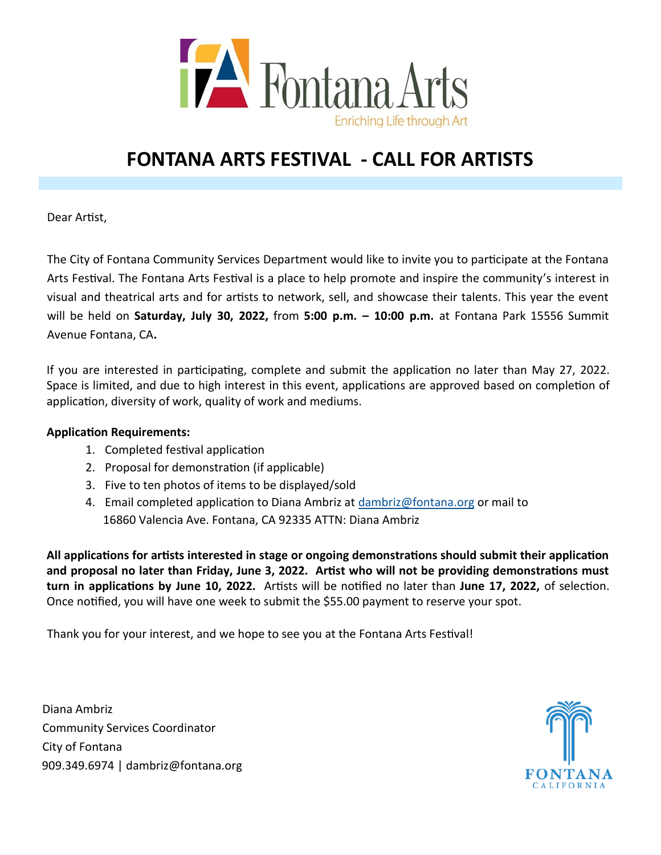

# **FONTANA ARTS FESTIVAL - CALL FOR ARTISTS**

Dear Artist,

The City of Fontana Community Services Department would like to invite you to participate at the Fontana Arts Festival. The Fontana Arts Festival is a place to help promote and inspire the community's interest in visual and theatrical arts and for artists to network, sell, and showcase their talents. This year the event will be held on **Saturday, July 30, 2022,** from **5:00 p.m. – 10:00 p.m.** at Fontana Park 15556 Summit Avenue Fontana, CA**.** 

If you are interested in participating, complete and submit the application no later than May 27, 2022. Space is limited, and due to high interest in this event, applications are approved based on completion of application, diversity of work, quality of work and mediums.

#### **Application Requirements:**

- 1. Completed festival application
- 2. Proposal for demonstration (if applicable)
- 3. Five to ten photos of items to be displayed/sold
- 4. Email completed application to Diana Ambriz at [dambriz@fontana.org](mailto:dambriz@fontana.org) or mail to 16860 Valencia Ave. Fontana, CA 92335 ATTN: Diana Ambriz

**All applications for artists interested in stage or ongoing demonstrations should submit their application and proposal no later than Friday, June 3, 2022. Artist who will not be providing demonstrations must turn in applications by June 10, 2022.** Artists will be notified no later than **June 17, 2022,** of selection. Once notified, you will have one week to submit the \$55.00 payment to reserve your spot.

Thank you for your interest, and we hope to see you at the Fontana Arts Festival!

Diana Ambriz Community Services Coordinator City of Fontana 909.349.6974 | dambriz@fontana.org

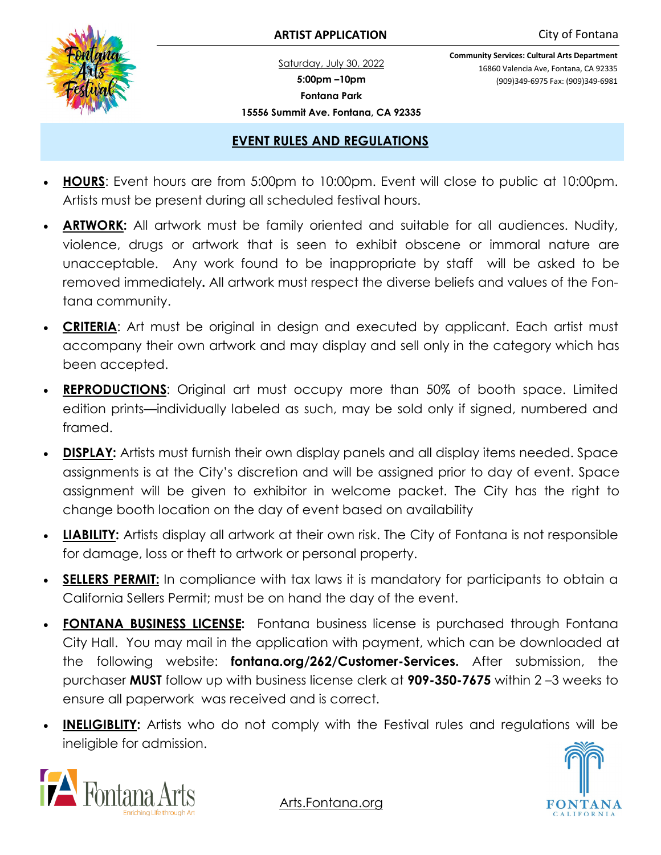

#### **ARTIST APPLICATION** City of Fontana

Saturday, July 30, 2022 **5:00pm –10pm Fontana Park 15556 Summit Ave. Fontana, CA 92335** **Community Services: Cultural Arts Department** 16860 Valencia Ave, Fontana, CA 92335 (909)349-6975 Fax: (909)349-6981

#### **EVENT RULES AND REGULATIONS**

- **HOURS**: Event hours are from 5:00pm to 10:00pm. Event will close to public at 10:00pm. Artists must be present during all scheduled festival hours.
- **ARTWORK:** All artwork must be family oriented and suitable for all audiences. Nudity, violence, drugs or artwork that is seen to exhibit obscene or immoral nature are unacceptable. Any work found to be inappropriate by staff will be asked to be removed immediately**.** All artwork must respect the diverse beliefs and values of the Fontana community.
- **CRITERIA**: Art must be original in design and executed by applicant. Each artist must accompany their own artwork and may display and sell only in the category which has been accepted.
- **REPRODUCTIONS:** Original art must occupy more than 50% of booth space. Limited edition prints—individually labeled as such, may be sold only if signed, numbered and framed.
- **DISPLAY:** Artists must furnish their own display panels and all display items needed. Space assignments is at the City's discretion and will be assigned prior to day of event. Space assignment will be given to exhibitor in welcome packet. The City has the right to change booth location on the day of event based on availability
- **LIABILITY:** Artists display all artwork at their own risk. The City of Fontana is not responsible for damage, loss or theft to artwork or personal property.
- **SELLERS PERMIT:** In compliance with tax laws it is mandatory for participants to obtain a California Sellers Permit; must be on hand the day of the event.
- **FONTANA BUSINESS LICENSE:** Fontana business license is purchased through Fontana City Hall. You may mail in the application with payment, which can be downloaded at the following website: **fontana.org/262/Customer-Services.** After submission, the purchaser **MUST** follow up with business license clerk at **909-350-7675** within 2 –3 weeks to ensure all paperwork was received and is correct.
- **INELIGIBLITY:** Artists who do not comply with the Festival rules and regulations will be ineligible for admission.



Arts.Fontana.org

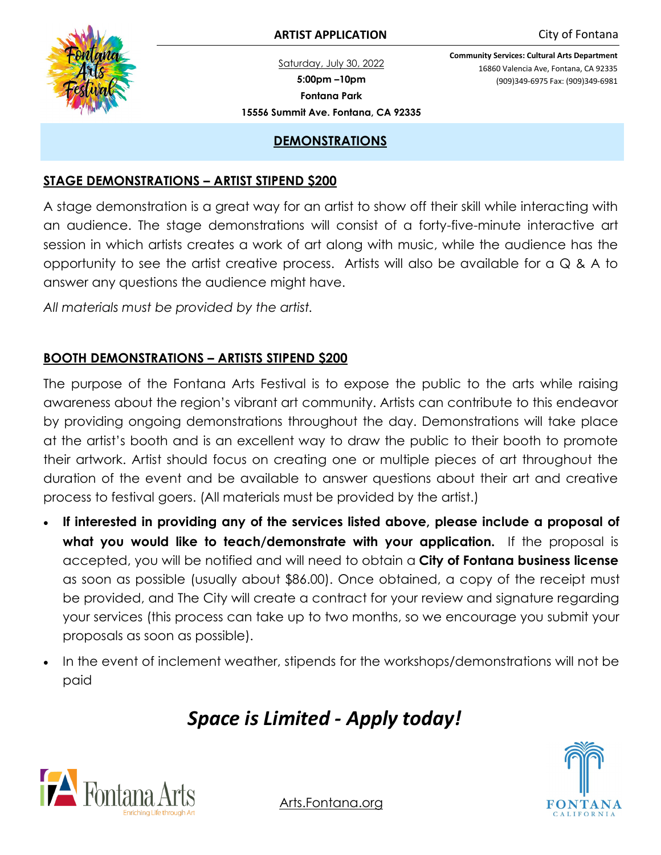Saturday, July 30, 2022 **5:00pm –10pm Fontana Park 15556 Summit Ave. Fontana, CA 92335** **Community Services: Cultural Arts Department** 16860 Valencia Ave, Fontana, CA 92335 (909)349-6975 Fax: (909)349-6981

### **DEMONSTRATIONS**

### **STAGE DEMONSTRATIONS – ARTIST STIPEND \$200**

A stage demonstration is a great way for an artist to show off their skill while interacting with an audience. The stage demonstrations will consist of a forty-five-minute interactive art session in which artists creates a work of art along with music, while the audience has the opportunity to see the artist creative process. Artists will also be available for a  $\mathbb Q$  & A to answer any questions the audience might have.

*All materials must be provided by the artist.*

## **BOOTH DEMONSTRATIONS – ARTISTS STIPEND \$200**

The purpose of the Fontana Arts Festival is to expose the public to the arts while raising awareness about the region's vibrant art community. Artists can contribute to this endeavor by providing ongoing demonstrations throughout the day. Demonstrations will take place at the artist's booth and is an excellent way to draw the public to their booth to promote their artwork. Artist should focus on creating one or multiple pieces of art throughout the duration of the event and be available to answer questions about their art and creative process to festival goers. (All materials must be provided by the artist.)

- **If interested in providing any of the services listed above, please include a proposal of what you would like to teach/demonstrate with your application.** If the proposal is accepted, you will be notified and will need to obtain a **City of Fontana business license**  as soon as possible (usually about \$86.00). Once obtained, a copy of the receipt must be provided, and The City will create a contract for your review and signature regarding your services (this process can take up to two months, so we encourage you submit your proposals as soon as possible).
- In the event of inclement weather, stipends for the workshops/demonstrations will not be paid

# *Space is Limited - Apply today!*





Arts.Fontana.org